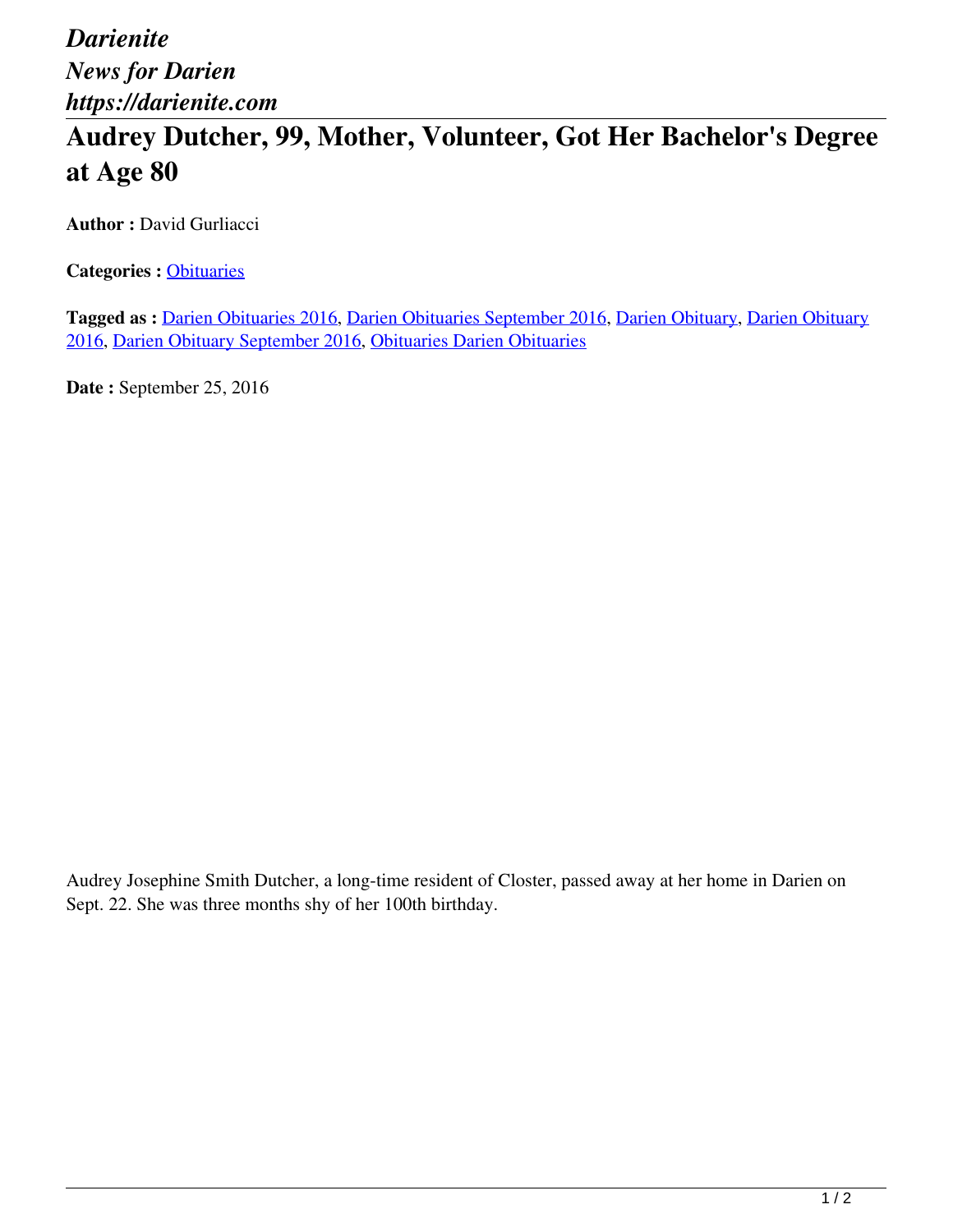*Darienite News for Darien https://darienite.com*

## **Audrey Dutcher, 99, Mother, Volunteer, Got Her Bachelor's Degree at Age 80**

**Author : David Gurliacci** 

**Categories :** [Obituaries](https://darienite.com/category/obituaries)

**Tagged as :** Darien Obituaries 2016, Darien Obituaries September 2016, Darien Obituary, Darien Obituary 2016, Darien Obituary September 2016, Obituaries Darien Obituaries

**Date :** September 25, 2016

Audrey Josephine Smith Dutcher, a long-time resident of Closter, passed away at her home in Darien on Sept. 22. She was three months shy of her 100th birthday.